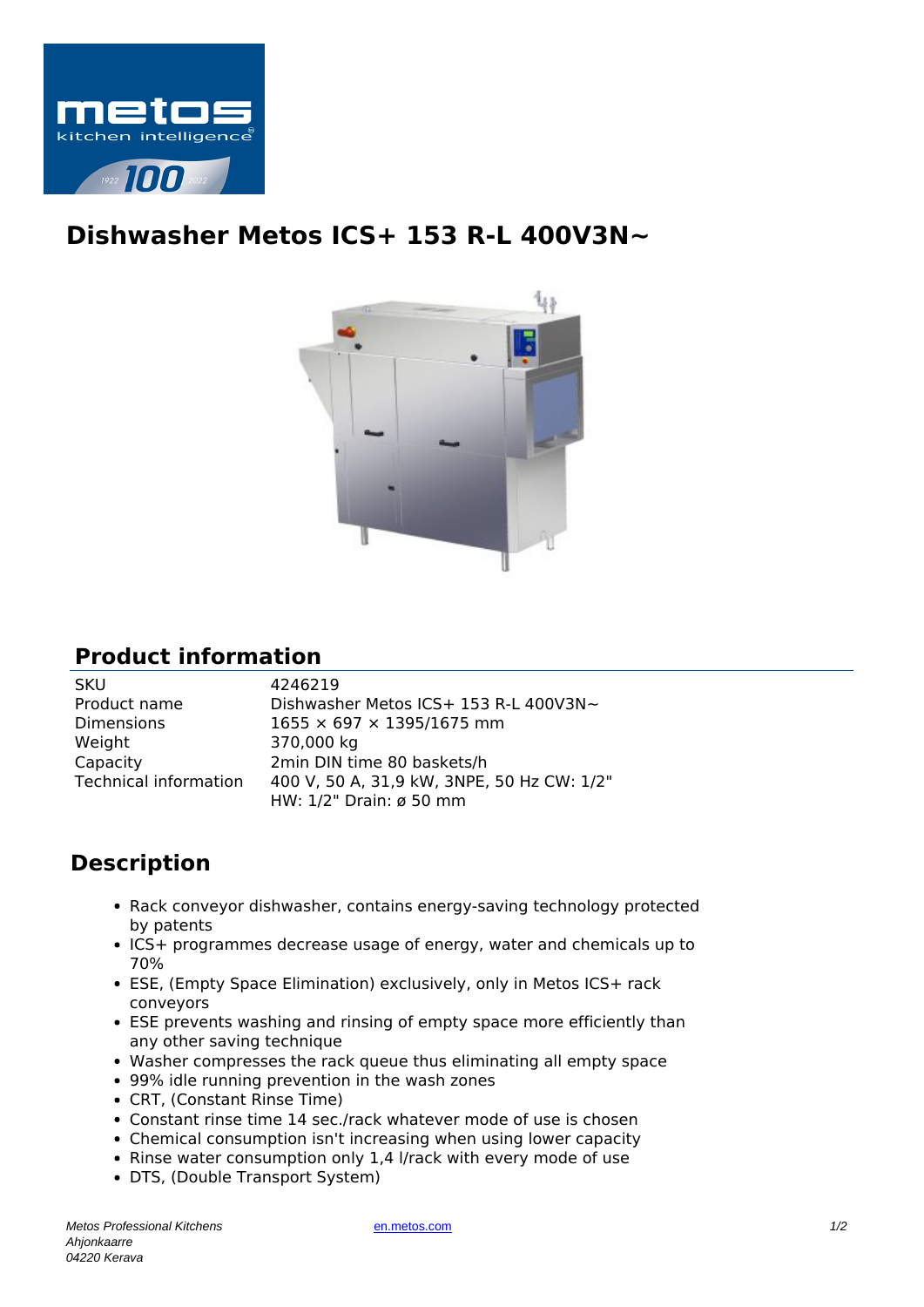

## **Dishwasher Metos ICS+ 153 R-L 400V3N~**



## **Product information**

| <b>SKU</b>            | 4246219                                    |
|-----------------------|--------------------------------------------|
| Product name          | Dishwasher Metos ICS+ 153 R-L 400V3N~      |
| <b>Dimensions</b>     | $1655 \times 697 \times 1395/1675$ mm      |
| Weight                | 370,000 kg                                 |
| Capacity              | 2min DIN time 80 baskets/h                 |
| Technical information | 400 V, 50 A, 31,9 kW, 3NPE, 50 Hz CW: 1/2" |
|                       | HW: 1/2" Drain: ø 50 mm                    |

## **Description**

- Rack conveyor dishwasher, contains energy-saving technology protected by patents
- ICS+ programmes decrease usage of energy, water and chemicals up to 70%
- ESE, (Empty Space Elimination) exclusively, only in Metos ICS+ rack conveyors
- ESE prevents washing and rinsing of empty space more efficiently than any other saving technique
- Washer compresses the rack queue thus eliminating all empty space
- 99% idle running prevention in the wash zones
- CRT, (Constant Rinse Time)
- Constant rinse time 14 sec./rack whatever mode of use is chosen
- Chemical consumption isn't increasing when using lower capacity
- Rinse water consumption only 1,4 l/rack with every mode of use
- DTS, (Double Transport System)